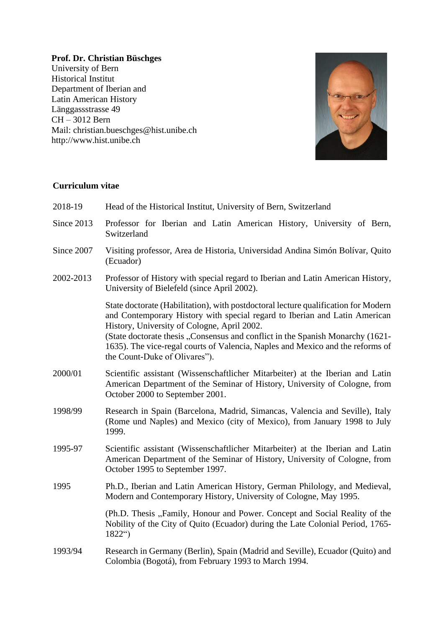## **Prof. Dr. Christian Büschges**

University of Bern Historical Institut Department of Iberian and Latin American History Länggassstrasse 49 CH – 3012 Bern Mail: christian.bueschges@hist.unibe.ch http://www.hist.unibe.ch



## **Curriculum vitae**

| 2018-19    | Head of the Historical Institut, University of Bern, Switzerland                                                                                                                                                                                                                                                                                                                                                     |
|------------|----------------------------------------------------------------------------------------------------------------------------------------------------------------------------------------------------------------------------------------------------------------------------------------------------------------------------------------------------------------------------------------------------------------------|
| Since 2013 | Professor for Iberian and Latin American History, University of Bern,<br>Switzerland                                                                                                                                                                                                                                                                                                                                 |
| Since 2007 | Visiting professor, Area de Historia, Universidad Andina Simón Bolívar, Quito<br>(Ecuador)                                                                                                                                                                                                                                                                                                                           |
| 2002-2013  | Professor of History with special regard to Iberian and Latin American History,<br>University of Bielefeld (since April 2002).                                                                                                                                                                                                                                                                                       |
|            | State doctorate (Habilitation), with postdoctoral lecture qualification for Modern<br>and Contemporary History with special regard to Iberian and Latin American<br>History, University of Cologne, April 2002.<br>(State doctorate thesis "Consensus and conflict in the Spanish Monarchy (1621-<br>1635). The vice-regal courts of Valencia, Naples and Mexico and the reforms of<br>the Count-Duke of Olivares"). |
| 2000/01    | Scientific assistant (Wissenschaftlicher Mitarbeiter) at the Iberian and Latin<br>American Department of the Seminar of History, University of Cologne, from<br>October 2000 to September 2001.                                                                                                                                                                                                                      |
| 1998/99    | Research in Spain (Barcelona, Madrid, Simancas, Valencia and Seville), Italy<br>(Rome und Naples) and Mexico (city of Mexico), from January 1998 to July<br>1999.                                                                                                                                                                                                                                                    |
| 1995-97    | Scientific assistant (Wissenschaftlicher Mitarbeiter) at the Iberian and Latin<br>American Department of the Seminar of History, University of Cologne, from<br>October 1995 to September 1997.                                                                                                                                                                                                                      |
| 1995       | Ph.D., Iberian and Latin American History, German Philology, and Medieval,<br>Modern and Contemporary History, University of Cologne, May 1995.                                                                                                                                                                                                                                                                      |
|            | (Ph.D. Thesis "Family, Honour and Power. Concept and Social Reality of the<br>Nobility of the City of Quito (Ecuador) during the Late Colonial Period, 1765-<br>$1822^{\circ}$                                                                                                                                                                                                                                       |
| 1993/94    | Research in Germany (Berlin), Spain (Madrid and Seville), Ecuador (Quito) and<br>Colombia (Bogotá), from February 1993 to March 1994.                                                                                                                                                                                                                                                                                |